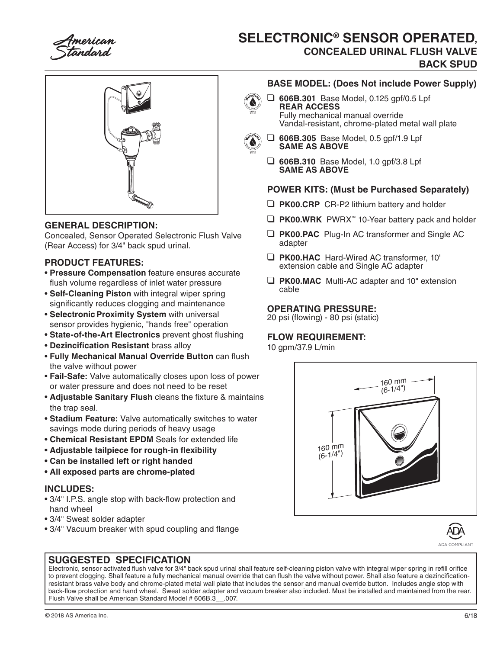# **SELECTRONIC® SENSOR OPERATED, CONCEALED URINAL FLUSH VALVE BACK SPUD**



# **GENERAL DESCRIPTION:**

Concealed, Sensor Operated Selectronic Flush Valve (Rear Access) for 3/4" back spud urinal.

## **PRODUCT FEATURES:**

- **Pressure Compensation** feature ensures accurate flush volume regardless of inlet water pressure
- **Self-Cleaning Piston** with integral wiper spring significantly reduces clogging and maintenance
- **Selectronic Proximity System with universal** sensor provides hygienic, "hands free" operation
- **State-of-the-Art Electronics** prevent ghost flushing
- **Dezincification Resistant** brass alloy
- **Fully Mechanical Manual Override Button** can flush the valve without power
- **Fail-Safe:** Valve automatically closes upon loss of power or water pressure and does not need to be reset
- **Adjustable Sanitary Flush** cleans the fixture & maintains the trap seal.
- **Stadium Feature:** Valve automatically switches to water savings mode during periods of heavy usage
- **Chemical Resistant EPDM** Seals for extended life
- **Adjustable tailpiece for rough-in flexibility**
- **Can be installed left or right handed**
- **All exposed parts are chrome-plated**

#### **INCLUDES:**

- 3/4" I.P.S. angle stop with back-flow protection and hand wheel
- 3/4" Sweat solder adapter
- 3/4" Vacuum breaker with spud coupling and flange

## **BASE MODEL: (Does Not include Power Supply)**

❑ **606B.301** Base Model, 0.125 gpf/0.5 Lpf **REAR ACCESS** Fully mechanical manual override Vandal-resistant, chrome-plated metal wall plate



- ❑ **606B.305** Base Model, 0.5 gpf/1.9 Lpf **SAME AS ABOVE**
- ❑ **606B.310** Base Model, 1.0 gpf/3.8 Lpf **SAME AS ABOVE**

## **POWER KITS: (Must be Purchased Separately)**

- ❑ **PK00.CRP** CR-P2 lithium battery and holder
- ❑ **PK00.WRK** PWRX™ 10-Year battery pack and holder
- ❑ **PK00.PAC** Plug-In AC transformer and Single AC adapter
- ❑ **PK00.HAC** Hard-Wired AC transformer, 10' extension cable and Single AC adapter
- ❑ **PK00.MAC** Multi-AC adapter and 10" extension cable

#### **OPERATING PRESSURE:**

20 psi (flowing) - 80 psi (static)

## **FLOW REQUIREMENT:**

10 gpm/37.9 L/min





ADA COMPLIANT

# **SUGGESTED SPECIFICATION**

Electronic, sensor activated flush valve for 3/4" back spud urinal shall feature self-cleaning piston valve with integral wiper spring in refill orifice to prevent clogging. Shall feature a fully mechanical manual override that can flush the valve without power. Shall also feature a dezincificationresistant brass valve body and chrome-plated metal wall plate that includes the sensor and manual override button. Includes angle stop with back-flow protection and hand wheel. Sweat solder adapter and vacuum breaker also included. Must be installed and maintained from the rear. Flush Valve shall be American Standard Model # 606B.3\_\_.007.